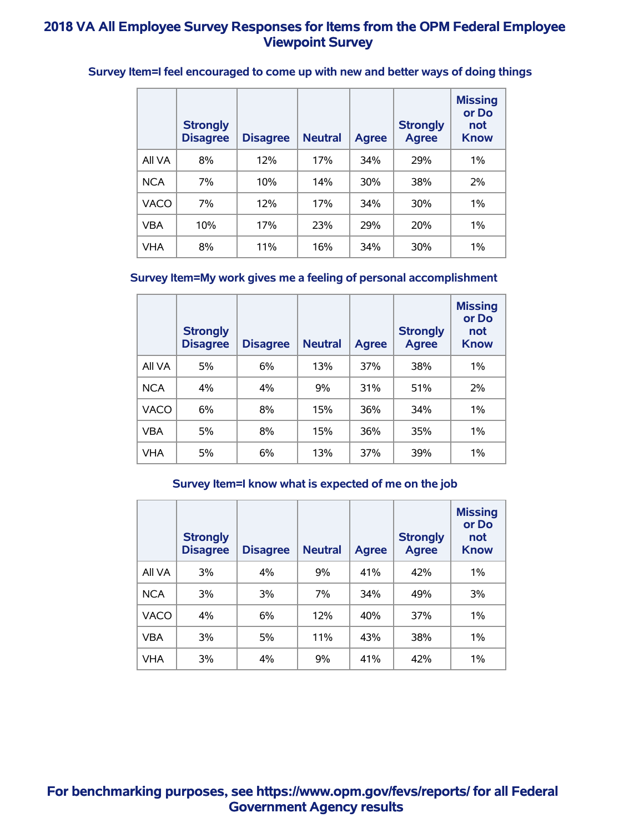|             | <b>Strongly</b><br><b>Disagree</b> | <b>Disagree</b> | <b>Neutral</b> | <b>Agree</b> | <b>Strongly</b><br><b>Agree</b> | <b>Missing</b><br>or Do<br>not<br><b>Know</b> |
|-------------|------------------------------------|-----------------|----------------|--------------|---------------------------------|-----------------------------------------------|
| All VA      | 8%                                 | 12%             | 17%            | 34%          | 29%                             | $1\%$                                         |
| <b>NCA</b>  | 7%                                 | 10%             | 14%            | 30%          | 38%                             | 2%                                            |
| <b>VACO</b> | 7%                                 | 12%             | 17%            | 34%          | 30%                             | $1\%$                                         |
| <b>VBA</b>  | 10%                                | 17%             | 23%            | 29%          | 20%                             | $1\%$                                         |
| <b>VHA</b>  | 8%                                 | 11%             | 16%            | 34%          | 30%                             | $1\%$                                         |

# **Survey Item=I feel encouraged to come up with new and better ways of doing things**

## **Survey Item=My work gives me a feeling of personal accomplishment**

|             | <b>Strongly</b><br><b>Disagree</b> | <b>Disagree</b> | <b>Neutral</b> | <b>Agree</b> | <b>Strongly</b><br><b>Agree</b> | <b>Missing</b><br>or Do<br>not<br><b>Know</b> |
|-------------|------------------------------------|-----------------|----------------|--------------|---------------------------------|-----------------------------------------------|
| All VA      | 5%                                 | 6%              | 13%            | 37%          | 38%                             | 1%                                            |
| <b>NCA</b>  | 4%                                 | 4%              | 9%             | 31%          | 51%                             | 2%                                            |
| <b>VACO</b> | 6%                                 | 8%              | 15%            | 36%          | 34%                             | $1\%$                                         |
| <b>VBA</b>  | 5%                                 | 8%              | 15%            | 36%          | 35%                             | $1\%$                                         |
| <b>VHA</b>  | 5%                                 | 6%              | 13%            | 37%          | 39%                             | 1%                                            |

#### **Survey Item=I know what is expected of me on the job**

|            | <b>Strongly</b><br><b>Disagree</b> | <b>Disagree</b> | <b>Neutral</b> | <b>Agree</b> | <b>Strongly</b><br><b>Agree</b> | <b>Missing</b><br>or Do<br>not<br><b>Know</b> |
|------------|------------------------------------|-----------------|----------------|--------------|---------------------------------|-----------------------------------------------|
| All VA     | 3%                                 | 4%              | 9%             | 41%          | 42%                             | 1%                                            |
| <b>NCA</b> | 3%                                 | 3%              | 7%             | 34%          | 49%                             | 3%                                            |
| VACO       | 4%                                 | 6%              | 12%            | 40%          | 37%                             | 1%                                            |
| <b>VBA</b> | 3%                                 | 5%              | 11%            | 43%          | 38%                             | 1%                                            |
| <b>VHA</b> | 3%                                 | 4%              | 9%             | 41%          | 42%                             | $1\%$                                         |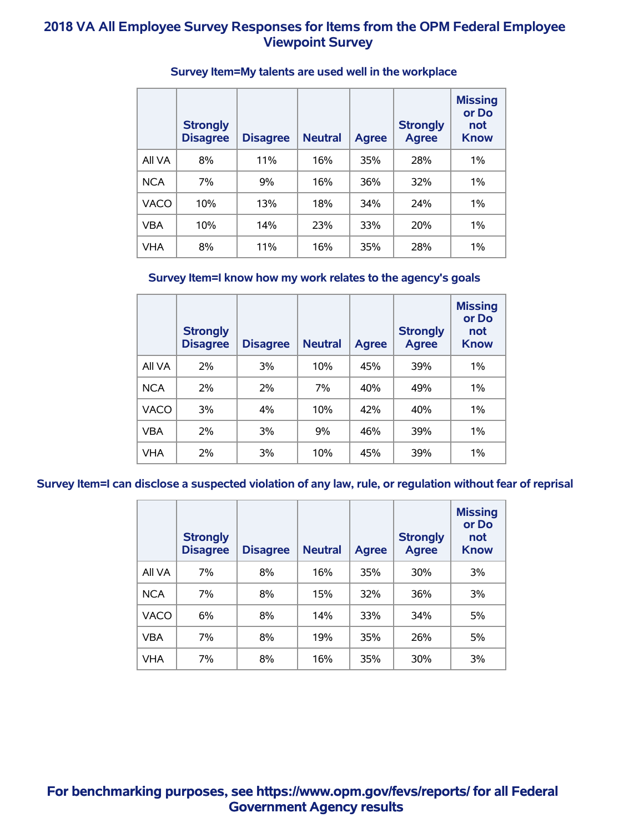|            | <b>Strongly</b><br><b>Disagree</b> | <b>Disagree</b> | <b>Neutral</b> | <b>Agree</b> | <b>Strongly</b><br><b>Agree</b> | <b>Missing</b><br>or Do<br>not<br><b>Know</b> |
|------------|------------------------------------|-----------------|----------------|--------------|---------------------------------|-----------------------------------------------|
| All VA     | 8%                                 | 11%             | 16%            | 35%          | 28%                             | $1\%$                                         |
| <b>NCA</b> | 7%                                 | 9%              | 16%            | 36%          | 32%                             | $1\%$                                         |
| VACO       | 10%                                | 13%             | 18%            | 34%          | 24%                             | $1\%$                                         |
| VBA        | 10%                                | 14%             | 23%            | 33%          | <b>20%</b>                      | $1\%$                                         |
| <b>VHA</b> | 8%                                 | 11%             | 16%            | 35%          | 28%                             | $1\%$                                         |

### **Survey Item=My talents are used well in the workplace**

### **Survey Item=I know how my work relates to the agency's goals**

|             | <b>Strongly</b><br><b>Disagree</b> | <b>Disagree</b> | <b>Neutral</b> | <b>Agree</b> | <b>Strongly</b><br><b>Agree</b> | <b>Missing</b><br>or Do<br>not<br><b>Know</b> |
|-------------|------------------------------------|-----------------|----------------|--------------|---------------------------------|-----------------------------------------------|
| All VA      | 2%                                 | 3%              | 10%            | 45%          | 39%                             | 1%                                            |
| <b>NCA</b>  | 2%                                 | 2%              | 7%             | 40%          | 49%                             | $1\%$                                         |
| <b>VACO</b> | 3%                                 | 4%              | 10%            | 42%          | 40%                             | 1%                                            |
| <b>VBA</b>  | 2%                                 | 3%              | 9%             | 46%          | 39%                             | 1%                                            |
| VHA         | $2\%$                              | 3%              | 10%            | 45%          | 39%                             | 1%                                            |

**Survey Item=I can disclose a suspected violation of any law, rule, or regulation without fear of reprisal**

|             | <b>Strongly</b><br><b>Disagree</b> | <b>Disagree</b> | <b>Neutral</b> | <b>Agree</b> | <b>Strongly</b><br><b>Agree</b> | <b>Missing</b><br>or Do<br>not<br><b>Know</b> |
|-------------|------------------------------------|-----------------|----------------|--------------|---------------------------------|-----------------------------------------------|
| All VA      | 7%                                 | 8%              | 16%            | 35%          | 30%                             | 3%                                            |
| <b>NCA</b>  | 7%                                 | 8%              | 15%            | 32%          | 36%                             | 3%                                            |
| <b>VACO</b> | 6%                                 | 8%              | 14%            | 33%          | 34%                             | 5%                                            |
| <b>VBA</b>  | 7%                                 | 8%              | 19%            | 35%          | 26%                             | 5%                                            |
| <b>VHA</b>  | 7%                                 | 8%              | 16%            | 35%          | 30%                             | 3%                                            |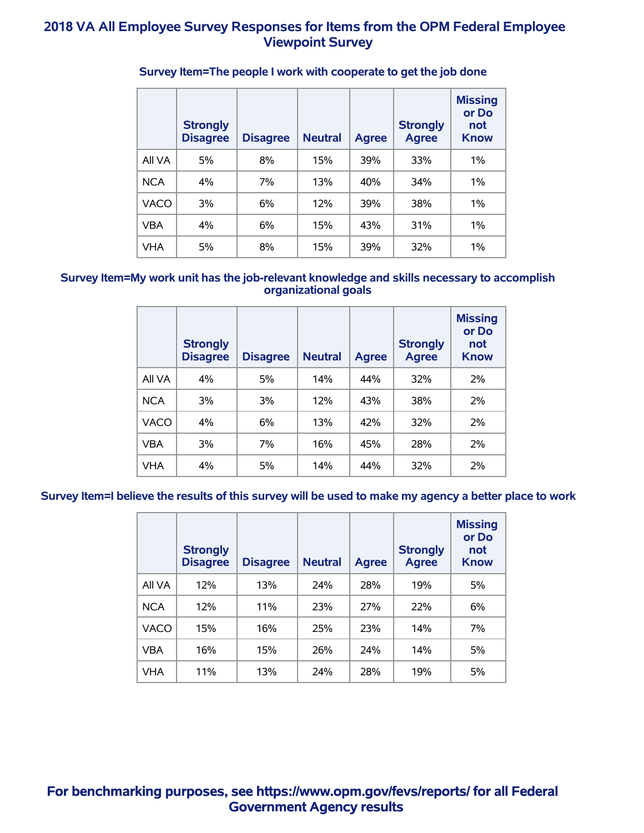|             | <b>Strongly</b><br><b>Disagree</b> | <b>Disagree</b> | <b>Neutral</b> | <b>Agree</b> | <b>Strongly</b><br><b>Agree</b> | <b>Missing</b><br>or Do<br>not<br><b>Know</b> |
|-------------|------------------------------------|-----------------|----------------|--------------|---------------------------------|-----------------------------------------------|
| All VA      | 5%                                 | 8%              | 15%            | 39%          | 33%                             | 1%                                            |
| <b>NCA</b>  | 4%                                 | 7%              | 13%            | 40%          | 34%                             | 1%                                            |
| <b>VACO</b> | 3%                                 | 6%              | 12%            | 39%          | 38%                             | 1%                                            |
| <b>VBA</b>  | 4%                                 | 6%              | 15%            | 43%          | 31%                             | 1%                                            |
| <b>VHA</b>  | 5%                                 | 8%              | 15%            | 39%          | 32%                             | 1%                                            |

### **Survey Item=The people I work with cooperate to get the job done**

#### **Survey Item=My work unit has the job-relevant knowledge and skills necessary to accomplish organizational goals**

|             | <b>Strongly</b><br><b>Disagree</b> | <b>Disagree</b> | <b>Neutral</b> | <b>Agree</b> | <b>Strongly</b><br><b>Agree</b> | <b>Missing</b><br>or Do<br>not<br><b>Know</b> |
|-------------|------------------------------------|-----------------|----------------|--------------|---------------------------------|-----------------------------------------------|
| All VA      | 4%                                 | 5%              | 14%            | 44%          | 32%                             | 2%                                            |
| <b>NCA</b>  | 3%                                 | 3%              | 12%            | 43%          | 38%                             | 2%                                            |
| <b>VACO</b> | 4%                                 | 6%              | 13%            | 42%          | 32%                             | 2%                                            |
| <b>VBA</b>  | 3%                                 | 7%              | 16%            | 45%          | 28%                             | 2%                                            |
| <b>VHA</b>  | 4%                                 | 5%              | 14%            | 44%          | 32%                             | 2%                                            |

**Survey Item=I believe the results of this survey will be used to make my agency a better place to work**

|            | <b>Strongly</b><br><b>Disagree</b> | <b>Disagree</b> | <b>Neutral</b> | <b>Agree</b> | <b>Strongly</b><br><b>Agree</b> | <b>Missing</b><br>or Do<br>not<br><b>Know</b> |
|------------|------------------------------------|-----------------|----------------|--------------|---------------------------------|-----------------------------------------------|
| All VA     | 12%                                | 13%             | 24%            | 28%          | 19%                             | 5%                                            |
| <b>NCA</b> | 12%                                | 11%             | 23%            | 27%          | 22%                             | 6%                                            |
| VACO       | 15%                                | 16%             | 25%            | 23%          | 14%                             | 7%                                            |
| <b>VBA</b> | 16%                                | 15%             | 26%            | 24%          | 14%                             | 5%                                            |
| VHA        | 11%                                | 13%             | 24%            | 28%          | 19%                             | 5%                                            |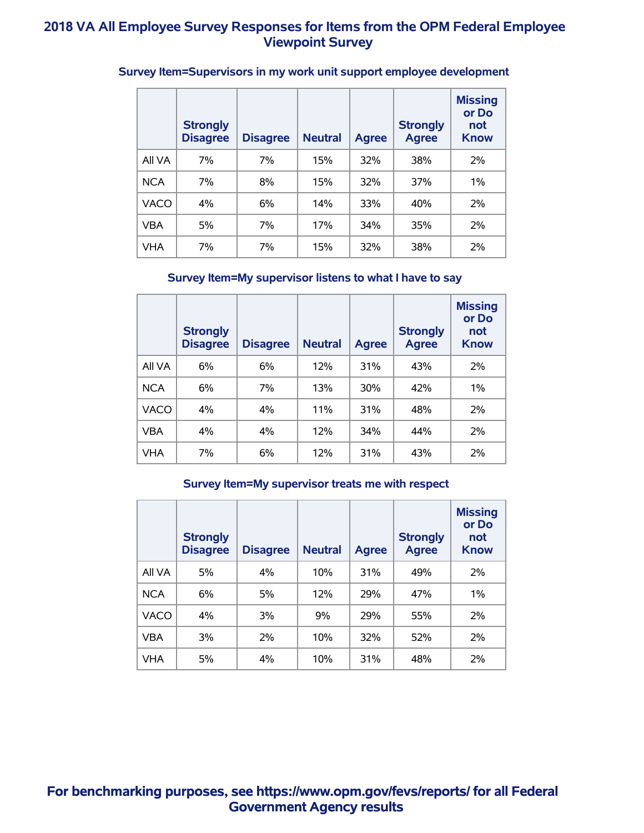|             | <b>Strongly</b><br><b>Disagree</b> | <b>Disagree</b> | <b>Neutral</b> | <b>Agree</b> | <b>Strongly</b><br><b>Agree</b> | <b>Missing</b><br>or Do<br>not<br><b>Know</b> |
|-------------|------------------------------------|-----------------|----------------|--------------|---------------------------------|-----------------------------------------------|
| All VA      | 7%                                 | 7%              | 15%            | 32%          | 38%                             | 2%                                            |
| <b>NCA</b>  | 7%                                 | 8%              | 15%            | 32%          | <b>37%</b>                      | $1\%$                                         |
| <b>VACO</b> | 4%                                 | 6%              | 14%            | 33%          | 40%                             | 2%                                            |
| <b>VBA</b>  | 5%                                 | 7%              | 17%            | 34%          | 35%                             | 2%                                            |
| VHA         | 7%                                 | 7%              | 15%            | 32%          | 38%                             | 2%                                            |

# **Survey Item=Supervisors in my work unit support employee development**

### **Survey Item=My supervisor listens to what I have to say**

|             | <b>Strongly</b><br><b>Disagree</b> | <b>Disagree</b> | <b>Neutral</b> | <b>Agree</b> | <b>Strongly</b><br><b>Agree</b> | <b>Missing</b><br>or Do<br>not<br><b>Know</b> |
|-------------|------------------------------------|-----------------|----------------|--------------|---------------------------------|-----------------------------------------------|
| All VA      | 6%                                 | 6%              | 12%            | 31%          | 43%                             | 2%                                            |
| <b>NCA</b>  | 6%                                 | 7%              | 13%            | 30%          | 42%                             | $1\%$                                         |
| <b>VACO</b> | 4%                                 | 4%              | 11%            | 31%          | 48%                             | 2%                                            |
| <b>VBA</b>  | 4%                                 | 4%              | 12%            | 34%          | 44%                             | 2%                                            |
| <b>VHA</b>  | 7%                                 | 6%              | 12%            | 31%          | 43%                             | 2%                                            |

#### **Survey Item=My supervisor treats me with respect**

|             | <b>Strongly</b><br><b>Disagree</b> | <b>Disagree</b> | <b>Neutral</b> | <b>Agree</b> | <b>Strongly</b><br><b>Agree</b> | <b>Missing</b><br>or Do<br>not<br><b>Know</b> |
|-------------|------------------------------------|-----------------|----------------|--------------|---------------------------------|-----------------------------------------------|
| All VA      | 5%                                 | 4%              | 10%            | 31%          | 49%                             | 2%                                            |
| <b>NCA</b>  | 6%                                 | 5%              | 12%            | 29%          | 47%                             | $1\%$                                         |
| <b>VACO</b> | 4%                                 | 3%              | 9%             | 29%          | 55%                             | 2%                                            |
| <b>VBA</b>  | 3%                                 | 2%              | 10%            | 32%          | 52%                             | 2%                                            |
| <b>VHA</b>  | 5%                                 | 4%              | 10%            | 31%          | 48%                             | 2%                                            |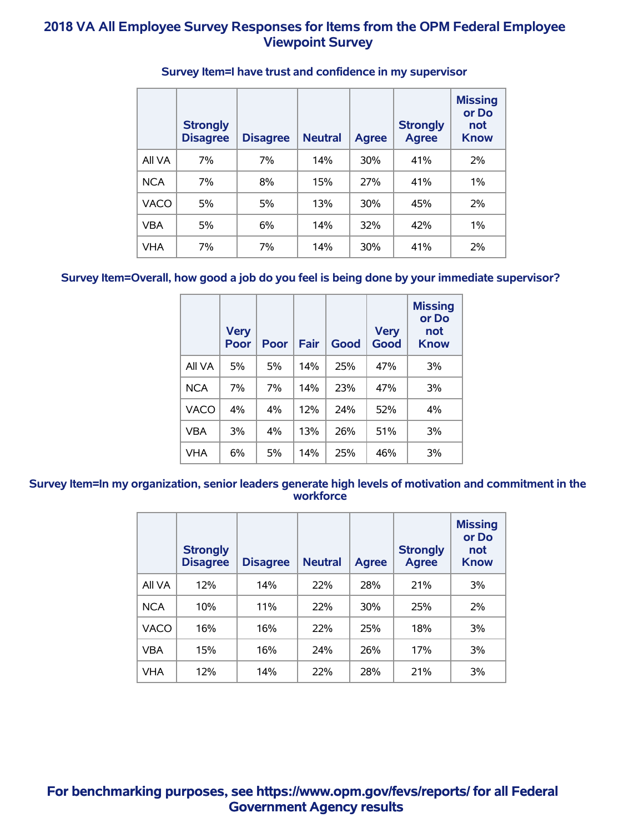|             | <b>Strongly</b><br><b>Disagree</b> | <b>Disagree</b> | <b>Neutral</b> | <b>Agree</b> | <b>Strongly</b><br><b>Agree</b> | <b>Missing</b><br>or Do<br><b>not</b><br><b>Know</b> |
|-------------|------------------------------------|-----------------|----------------|--------------|---------------------------------|------------------------------------------------------|
| All VA      | 7%                                 | 7%              | 14%            | 30%          | 41%                             | 2%                                                   |
| <b>NCA</b>  | 7%                                 | 8%              | 15%            | 27%          | 41%                             | 1%                                                   |
| <b>VACO</b> | 5%                                 | 5%              | 13%            | 30%          | 45%                             | 2%                                                   |
| <b>VBA</b>  | 5%                                 | 6%              | 14%            | 32%          | 42%                             | $1\%$                                                |
| <b>VHA</b>  | 7%                                 | 7%              | 14%            | <b>30%</b>   | 41%                             | 2%                                                   |

### **Survey Item=I have trust and confidence in my supervisor**

### **Survey Item=Overall, how good a job do you feel is being done by your immediate supervisor?**

|             | <b>Very</b><br>Poor | Poor | Fair | Good | <b>Very</b><br>Good | <b>Missing</b><br>or Do<br>not<br><b>Know</b> |
|-------------|---------------------|------|------|------|---------------------|-----------------------------------------------|
| All VA      | 5%                  | 5%   | 14%  | 25%  | 47%                 | 3%                                            |
| <b>NCA</b>  | 7%                  | 7%   | 14%  | 23%  | 47%                 | 3%                                            |
| <b>VACO</b> | 4%                  | 4%   | 12%  | 24%  | 52%                 | $4\%$                                         |
| <b>VBA</b>  | 3%                  | 4%   | 13%  | 26%  | 51%                 | 3%                                            |
| <b>VHA</b>  | 6%                  | 5%   | 14%  | 25%  | 46%                 | 3%                                            |

#### **Survey Item=In my organization, senior leaders generate high levels of motivation and commitment in the workforce**

|             | <b>Strongly</b><br><b>Disagree</b> | <b>Disagree</b> | <b>Neutral</b> | <b>Agree</b> | <b>Strongly</b><br><b>Agree</b> | <b>Missing</b><br>or Do<br>not<br><b>Know</b> |
|-------------|------------------------------------|-----------------|----------------|--------------|---------------------------------|-----------------------------------------------|
| All VA      | 12%                                | 14%             | 22%            | 28%          | 21%                             | 3%                                            |
| <b>NCA</b>  | 10%                                | 11%             | 22%            | <b>30%</b>   | 25%                             | 2%                                            |
| <b>VACO</b> | 16%                                | 16%             | 22%            | 25%          | 18%                             | 3%                                            |
| <b>VBA</b>  | 15%                                | 16%             | 24%            | 26%          | 17%                             | 3%                                            |
| <b>VHA</b>  | 12%                                | 14%             | 22%            | 28%          | 21%                             | 3%                                            |

**For benchmarking purposes, see https://www.opm.gov/fevs/reports/ for all Federal Government Agency results**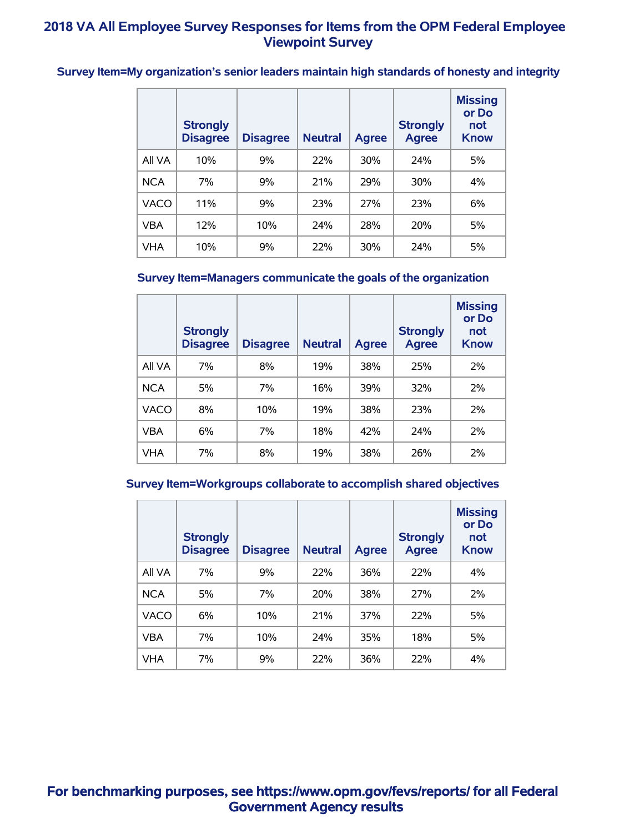**Survey Item=My organization's senior leaders maintain high standards of honesty and integrity**

|            | <b>Strongly</b><br><b>Disagree</b> | <b>Disagree</b> | <b>Neutral</b> | <b>Agree</b> | <b>Strongly</b><br><b>Agree</b> | <b>Missing</b><br>or Do<br>not<br><b>Know</b> |
|------------|------------------------------------|-----------------|----------------|--------------|---------------------------------|-----------------------------------------------|
| All VA     | 10%                                | 9%              | 22%            | <b>30%</b>   | 24%                             | 5%                                            |
| <b>NCA</b> | 7%                                 | 9%              | 21%            | 29%          | 30%                             | 4%                                            |
| VACO       | 11%                                | 9%              | 23%            | 27%          | 23%                             | 6%                                            |
| VBA        | 12%                                | 10%             | 24%            | 28%          | <b>20%</b>                      | 5%                                            |
| <b>VHA</b> | 10%                                | 9%              | 22%            | 30%          | 24%                             | 5%                                            |

### **Survey Item=Managers communicate the goals of the organization**

|             | <b>Strongly</b><br><b>Disagree</b> | <b>Disagree</b> | <b>Neutral</b> | <b>Agree</b> | <b>Strongly</b><br><b>Agree</b> | <b>Missing</b><br>or Do<br>not<br><b>Know</b> |
|-------------|------------------------------------|-----------------|----------------|--------------|---------------------------------|-----------------------------------------------|
| All VA      | 7%                                 | 8%              | 19%            | 38%          | 25%                             | 2%                                            |
| <b>NCA</b>  | 5%                                 | 7%              | 16%            | 39%          | 32%                             | 2%                                            |
| <b>VACO</b> | 8%                                 | 10%             | 19%            | 38%          | 23%                             | 2%                                            |
| <b>VBA</b>  | 6%                                 | 7%              | 18%            | 42%          | 24%                             | 2%                                            |
| <b>VHA</b>  | 7%                                 | 8%              | 19%            | 38%          | 26%                             | 2%                                            |

#### **Survey Item=Workgroups collaborate to accomplish shared objectives**

|             | <b>Strongly</b><br><b>Disagree</b> | <b>Disagree</b> | <b>Neutral</b> | <b>Agree</b> | <b>Strongly</b><br><b>Agree</b> | <b>Missing</b><br>or Do<br>not<br><b>Know</b> |
|-------------|------------------------------------|-----------------|----------------|--------------|---------------------------------|-----------------------------------------------|
| All VA      | 7%                                 | 9%              | 22%            | 36%          | 22%                             | $4\%$                                         |
| <b>NCA</b>  | 5%                                 | 7%              | 20%            | 38%          | 27%                             | 2%                                            |
| <b>VACO</b> | 6%                                 | 10%             | 21%            | 37%          | 22%                             | 5%                                            |
| VBA         | 7%                                 | 10%             | 24%            | 35%          | 18%                             | 5%                                            |
| VHA         | 7%                                 | 9%              | 22%            | 36%          | 22%                             | $4\%$                                         |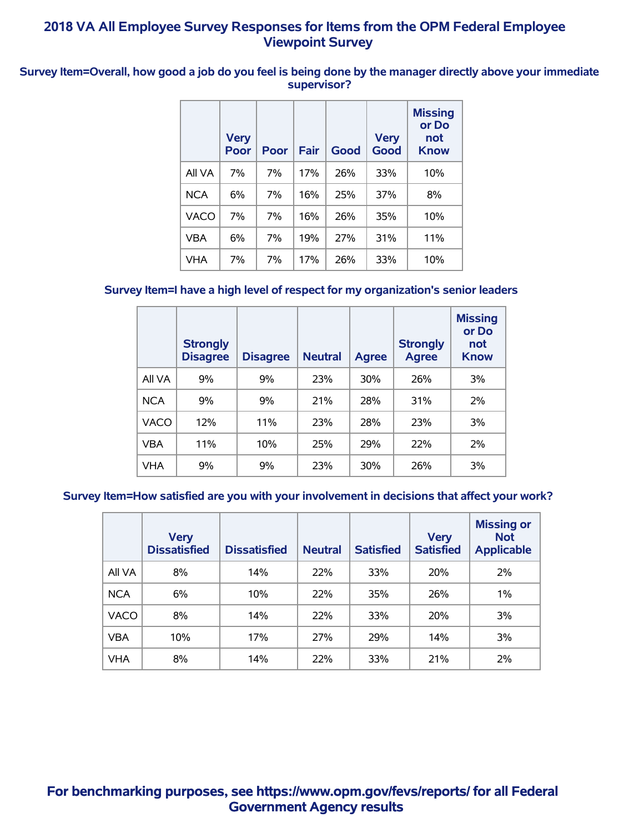**Survey Item=Overall, how good a job do you feel is being done by the manager directly above your immediate supervisor?**

|            | <b>Very</b><br>Poor | Poor | Fair | Good | <b>Very</b><br><b>Good</b> | <b>Missing</b><br>or Do<br>not<br><b>Know</b> |
|------------|---------------------|------|------|------|----------------------------|-----------------------------------------------|
| All VA     | 7%                  | 7%   | 17%  | 26%  | 33%                        | 10%                                           |
| <b>NCA</b> | 6%                  | 7%   | 16%  | 25%  | 37%                        | 8%                                            |
| VACO       | 7%                  | 7%   | 16%  | 26%  | 35%                        | 10%                                           |
| VBA        | 6%                  | 7%   | 19%  | 27%  | 31%                        | 11%                                           |
| VHA        | 7%                  | 7%   | 17%  | 26%  | 33%                        | 10%                                           |

# **Survey Item=I have a high level of respect for my organization's senior leaders**

|             | <b>Strongly</b><br><b>Disagree</b> | <b>Disagree</b> | <b>Neutral</b> | <b>Agree</b> | <b>Strongly</b><br><b>Agree</b> | <b>Missing</b><br>or Do<br>not<br><b>Know</b> |
|-------------|------------------------------------|-----------------|----------------|--------------|---------------------------------|-----------------------------------------------|
| All VA      | 9%                                 | 9%              | 23%            | <b>30%</b>   | 26%                             | 3%                                            |
| <b>NCA</b>  | 9%                                 | 9%              | 21%            | 28%          | 31%                             | 2%                                            |
| <b>VACO</b> | 12%                                | 11%             | 23%            | 28%          | 23%                             | 3%                                            |
| <b>VBA</b>  | 11%                                | 10%             | 25%            | 29%          | 22%                             | 2%                                            |
| <b>VHA</b>  | 9%                                 | 9%              | 23%            | 30%          | 26%                             | 3%                                            |

#### **Survey Item=How satisfied are you with your involvement in decisions that affect your work?**

|             | <b>Very</b><br><b>Dissatisfied</b> | <b>Dissatisfied</b> | <b>Neutral</b> | <b>Satisfied</b> | <b>Very</b><br><b>Satisfied</b> | <b>Missing or</b><br><b>Not</b><br><b>Applicable</b> |
|-------------|------------------------------------|---------------------|----------------|------------------|---------------------------------|------------------------------------------------------|
| All VA      | 8%                                 | 14%                 | 22%            | 33%              | <b>20%</b>                      | 2%                                                   |
| <b>NCA</b>  | 6%                                 | 10%                 | 22%            | 35%              | 26%                             | 1%                                                   |
| <b>VACO</b> | 8%                                 | 14%                 | 22%            | 33%              | 20%                             | 3%                                                   |
| <b>VBA</b>  | 10%                                | 17%                 | 27%            | 29%              | 14%                             | 3%                                                   |
| <b>VHA</b>  | 8%                                 | 14%                 | 22%            | 33%              | 21%                             | 2%                                                   |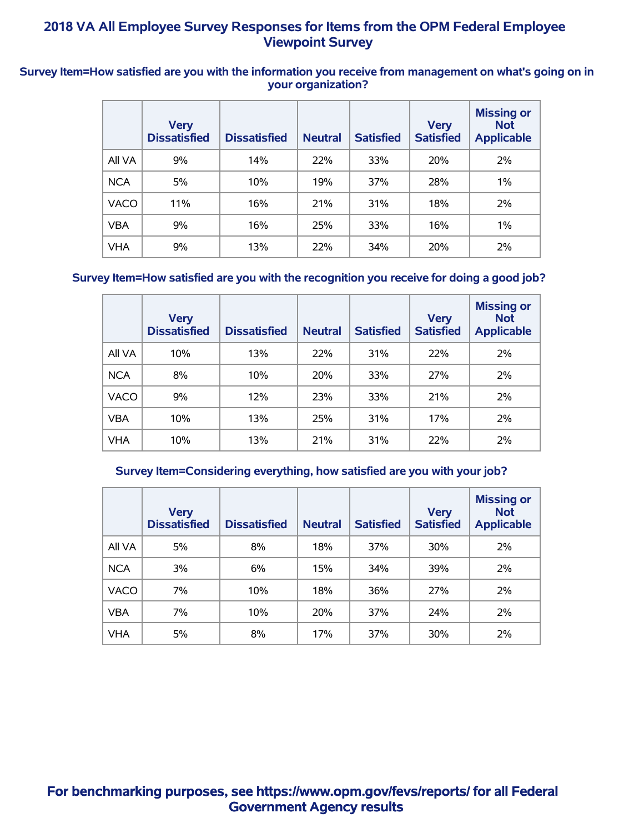#### **Survey Item=How satisfied are you with the information you receive from management on what's going on in your organization?**

|             | <b>Very</b><br><b>Dissatisfied</b> | <b>Dissatisfied</b> | <b>Neutral</b> | <b>Satisfied</b> | <b>Very</b><br><b>Satisfied</b> | <b>Missing or</b><br><b>Not</b><br><b>Applicable</b> |
|-------------|------------------------------------|---------------------|----------------|------------------|---------------------------------|------------------------------------------------------|
| All VA      | 9%                                 | 14%                 | 22%            | 33%              | 20%                             | 2%                                                   |
| <b>NCA</b>  | 5%                                 | 10%                 | 19%            | 37%              | 28%                             | $1\%$                                                |
| <b>VACO</b> | 11%                                | 16%                 | 21%            | 31%              | 18%                             | 2%                                                   |
| <b>VBA</b>  | 9%                                 | 16%                 | 25%            | 33%              | 16%                             | 1%                                                   |
| <b>VHA</b>  | 9%                                 | 13%                 | 22%            | 34%              | 20%                             | 2%                                                   |

### **Survey Item=How satisfied are you with the recognition you receive for doing a good job?**

|             | <b>Very</b><br><b>Dissatisfied</b> | <b>Dissatisfied</b> | <b>Neutral</b> | <b>Satisfied</b> | <b>Very</b><br><b>Satisfied</b> | <b>Missing or</b><br><b>Not</b><br><b>Applicable</b> |
|-------------|------------------------------------|---------------------|----------------|------------------|---------------------------------|------------------------------------------------------|
| All VA      | 10%                                | 13%                 | 22%            | 31%              | 22%                             | 2%                                                   |
| <b>NCA</b>  | 8%                                 | 10%                 | 20%            | 33%              | 27%                             | 2%                                                   |
| <b>VACO</b> | 9%                                 | 12%                 | 23%            | 33%              | 21%                             | 2%                                                   |
| <b>VBA</b>  | 10%                                | 13%                 | 25%            | 31%              | 17%                             | 2%                                                   |
| <b>VHA</b>  | 10%                                | 13%                 | 21%            | 31%              | 22%                             | 2%                                                   |

#### **Survey Item=Considering everything, how satisfied are you with your job?**

|             | <b>Very</b><br><b>Dissatisfied</b> | <b>Dissatisfied</b> | <b>Neutral</b> | <b>Satisfied</b> | <b>Very</b><br><b>Satisfied</b> | <b>Missing or</b><br><b>Not</b><br><b>Applicable</b> |
|-------------|------------------------------------|---------------------|----------------|------------------|---------------------------------|------------------------------------------------------|
| All VA      | 5%                                 | 8%                  | 18%            | 37%              | 30%                             | 2%                                                   |
| <b>NCA</b>  | 3%                                 | 6%                  | 15%            | 34%              | 39%                             | 2%                                                   |
| <b>VACO</b> | 7%                                 | 10%                 | 18%            | 36%              | 27%                             | 2%                                                   |
| <b>VBA</b>  | 7%                                 | 10%                 | 20%            | 37%              | 24%                             | 2%                                                   |
| <b>VHA</b>  | 5%                                 | 8%                  | 17%            | <b>37%</b>       | 30%                             | 2%                                                   |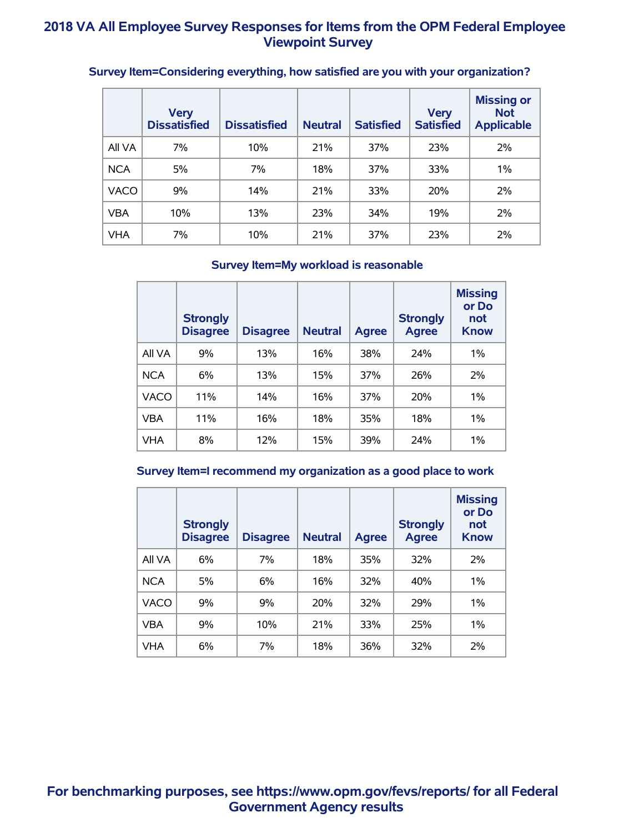|             | <b>Very</b><br><b>Dissatisfied</b> | <b>Dissatisfied</b> | <b>Neutral</b> | <b>Satisfied</b> | <b>Very</b><br><b>Satisfied</b> | <b>Missing or</b><br><b>Not</b><br><b>Applicable</b> |
|-------------|------------------------------------|---------------------|----------------|------------------|---------------------------------|------------------------------------------------------|
| All VA      | 7%                                 | 10%                 | 21%            | 37%              | 23%                             | 2%                                                   |
| <b>NCA</b>  | 5%                                 | 7%                  | 18%            | 37%              | 33%                             | 1%                                                   |
| <b>VACO</b> | 9%                                 | 14%                 | 21%            | 33%              | 20%                             | 2%                                                   |
| <b>VBA</b>  | 10%                                | 13%                 | 23%            | 34%              | 19%                             | 2%                                                   |
| <b>VHA</b>  | 7%                                 | 10%                 | 21%            | 37%              | 23%                             | 2%                                                   |

# **Survey Item=Considering everything, how satisfied are you with your organization?**

#### **Survey Item=My workload is reasonable**

|             | <b>Strongly</b><br><b>Disagree</b> | <b>Disagree</b> | <b>Neutral</b> | <b>Agree</b> | <b>Strongly</b><br><b>Agree</b> | <b>Missing</b><br>or Do<br>not<br><b>Know</b> |
|-------------|------------------------------------|-----------------|----------------|--------------|---------------------------------|-----------------------------------------------|
| All VA      | 9%                                 | 13%             | 16%            | 38%          | 24%                             | 1%                                            |
| <b>NCA</b>  | 6%                                 | 13%             | 15%            | 37%          | 26%                             | 2%                                            |
| <b>VACO</b> | 11%                                | 14%             | 16%            | <b>37%</b>   | 20%                             | $1\%$                                         |
| <b>VBA</b>  | 11%                                | 16%             | 18%            | 35%          | 18%                             | 1%                                            |
| <b>VHA</b>  | 8%                                 | 12%             | 15%            | 39%          | 24%                             | $1\%$                                         |

#### **Survey Item=I recommend my organization as a good place to work**

|            | <b>Strongly</b><br><b>Disagree</b> | <b>Disagree</b> | <b>Neutral</b> | <b>Agree</b> | <b>Strongly</b><br><b>Agree</b> | <b>Missing</b><br>or Do<br>not<br><b>Know</b> |
|------------|------------------------------------|-----------------|----------------|--------------|---------------------------------|-----------------------------------------------|
| All VA     | 6%                                 | 7%              | 18%            | 35%          | 32%                             | 2%                                            |
| <b>NCA</b> | 5%                                 | 6%              | 16%            | 32%          | 40%                             | $1\%$                                         |
| VACO       | 9%                                 | 9%              | 20%            | <b>32%</b>   | 29%                             | $1\%$                                         |
| <b>VBA</b> | 9%                                 | 10%             | 21%            | 33%          | 25%                             | $1\%$                                         |
| <b>VHA</b> | 6%                                 | 7%              | 18%            | 36%          | 32%                             | 2%                                            |